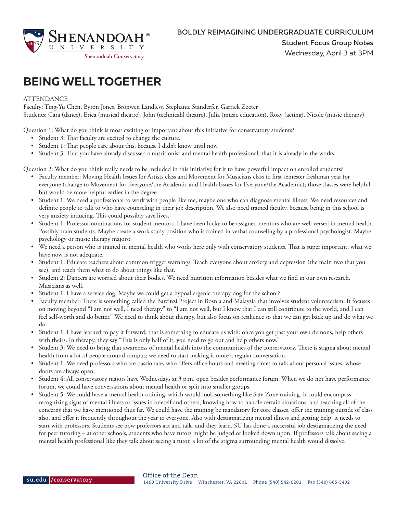

## **BEING WELL TOGETHER**

## **ATTENDANCE**

Faculty: Ting-Yu Chen, Byron Jones, Bronwen Landless, Stephanie Standerfer, Garrick Zoeter Students: Cara (dance), Erica (musical theatre), John (technicahl theatre), Julia (music education), Roxy (acting), Nicole (music therapy)

Question 1: What do you think is most exciting or important about this initiative for conservatory students?

- Student 3: That faculty are excited to change the culture.
- Student 1: That people care about this, because I didn't know until now.
- Student 3: That you have already discussed a nutritionist and mental health professional, that it is already in the works.

Question 2: What do you think really needs to be included in this initiative for it to have powerful impact on enrolled students?

- Faculty member: Moving Health Issues for Artists class and Movement for Musicians class to first semester freshman year for everyone (change to Movement for Everyone/the Academic and Health Issues for Everyone/the Academic); those classes were helpful but would be more helpful earlier in the degree
- Student 1: We need a professional to work with people like me, maybe one who can diagnose mental illness. We need resources and definite people to talk to who have counseling in their job description. We also need trained faculty, because being in this school is very anxiety inducing. This could possibly save lives.
- Student 1: Professor nominations for student mentors. I have been lucky to be assigned mentors who are well versed in mental health. Possibly train students. Maybe create a work study position who is trained in verbal counseling by a professional psychologist. Maybe psychology or music therapy majors?
- We need a person who is trained in mental health who works here only with conservatory students. That is super important; what we have now is not adequate.
- Student 1: Educate teachers about common trigger warnings. Teach everyone about anxiety and depression (the main two that you see), and teach them what to do about things like that.
- Student 2: Dancers are worried about their bodies. We need nutrition information besides what we find in our own research. Musicians as well.
- Student 1: I have a service dog. Maybe we could get a hypoallergenic therapy dog for the school?
- Faculty member: There is something called the Barzinzi Project in Bosnia and Malaysia that involves student volunteerism. It focuses on moving beyond "I am not well, I need therapy" to "I am not well, but I know that I can still contribute to the world, and I can feel self-worth and do better." We need to think about therapy, but also focus on resilience so that we can get back up and do what we do.
- Student 1: I have learned to pay it forward; that is something to educate us with: once you get past your own demons, help others with theirs. In therapy, they say "This is only half of it, you need to go out and help others now."
- Student 3: We need to bring that awareness of mental health into the communities of the conservatory. There is stigma about mental health from a lot of people around campus; we need to start making it more a regular conversation.
- Student 1: We need professors who are passionate, who offers office hours and meeting times to talk about personal issues, whose doors are always open.
- Student 4: All conservatory majors have Wednesdays at 3 p.m. open besides performance forum. When we do not have performance forum, we could have conversations about mental health or split into smaller groups.
- Student 5: We could have a mental health training, which would look something like Safe Zone training. It could encompass recognizing signs of mental illness or issues in oneself and others, knowing how to handle certain situations, and teaching all of the concerns that we have mentioned thus far. We could have the training be mandatory for core classes, offer the training outside of class also, and offer it frequently throughout the year to everyone. Also with destigmatizing mental illness and getting help, it needs to start with professors. Students see how professors act and talk, and they learn. SU has done a successful job destigmatizing the need for peer tutoring – at other schools, students who have tutors might be judged or looked down upon. If professors talk about seeing a mental health professional like they talk about seeing a tutor, a lot of the stigma surrounding mental health would dissolve.